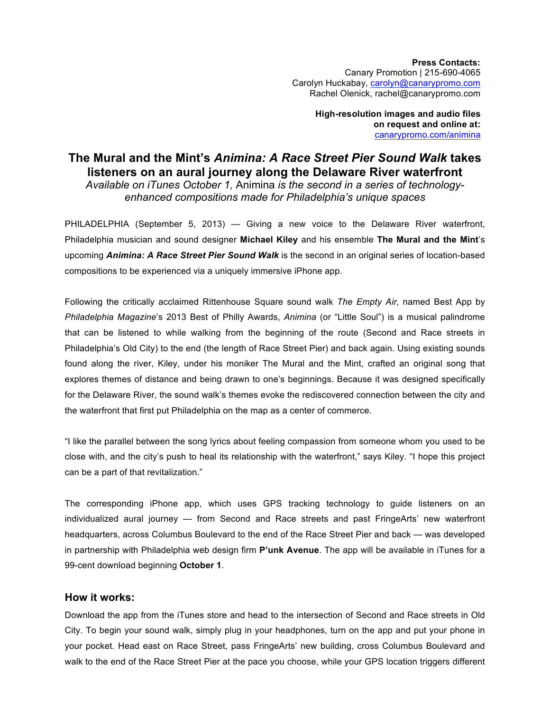**Press Contacts:**  Canary Promotion | 215-690-4065 Carolyn Huckabay, carolyn@canarypromo.com Rachel Olenick, rachel@canarypromo.com

> **High-resolution images and audio files on request and online at:** canarypromo.com/animina

## **The Mural and the Mint's** *Animina: A Race Street Pier Sound Walk* **takes listeners on an aural journey along the Delaware River waterfront**

*Available on iTunes October 1,* Animina *is the second in a series of technologyenhanced compositions made for Philadelphia's unique spaces*

PHILADELPHIA (September 5, 2013) — Giving a new voice to the Delaware River waterfront, Philadelphia musician and sound designer **Michael Kiley** and his ensemble **The Mural and the Mint**'s upcoming *Animina: A Race Street Pier Sound Walk* is the second in an original series of location-based compositions to be experienced via a uniquely immersive iPhone app.

Following the critically acclaimed Rittenhouse Square sound walk *The Empty Air*, named Best App by *Philadelphia Magazine*'s 2013 Best of Philly Awards, *Animina* (or "Little Soul") is a musical palindrome that can be listened to while walking from the beginning of the route (Second and Race streets in Philadelphia's Old City) to the end (the length of Race Street Pier) and back again. Using existing sounds found along the river, Kiley, under his moniker The Mural and the Mint, crafted an original song that explores themes of distance and being drawn to one's beginnings. Because it was designed specifically for the Delaware River, the sound walk's themes evoke the rediscovered connection between the city and the waterfront that first put Philadelphia on the map as a center of commerce.

"I like the parallel between the song lyrics about feeling compassion from someone whom you used to be close with, and the city's push to heal its relationship with the waterfront," says Kiley. "I hope this project can be a part of that revitalization."

The corresponding iPhone app, which uses GPS tracking technology to guide listeners on an individualized aural journey — from Second and Race streets and past FringeArts' new waterfront headquarters, across Columbus Boulevard to the end of the Race Street Pier and back — was developed in partnership with Philadelphia web design firm **P'unk Avenue**. The app will be available in iTunes for a 99-cent download beginning **October 1**.

## **How it works:**

Download the app from the iTunes store and head to the intersection of Second and Race streets in Old City. To begin your sound walk, simply plug in your headphones, turn on the app and put your phone in your pocket. Head east on Race Street, pass FringeArts' new building, cross Columbus Boulevard and walk to the end of the Race Street Pier at the pace you choose, while your GPS location triggers different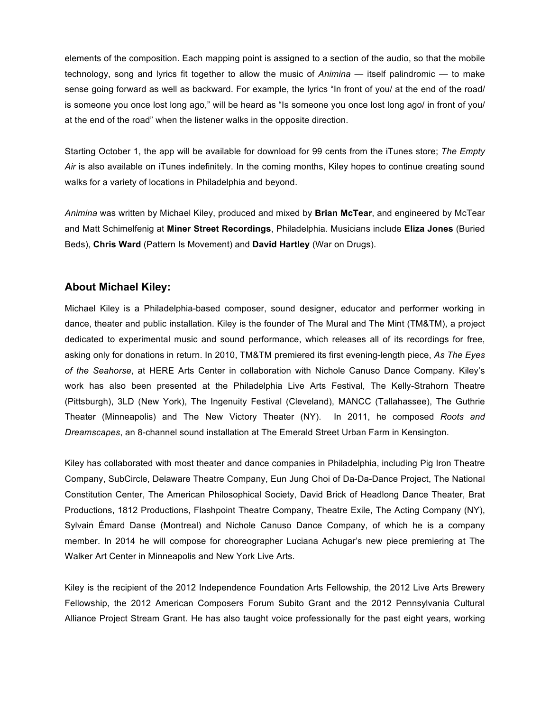elements of the composition. Each mapping point is assigned to a section of the audio, so that the mobile technology, song and lyrics fit together to allow the music of *Animina* — itself palindromic — to make sense going forward as well as backward. For example, the lyrics "In front of you/ at the end of the road/ is someone you once lost long ago," will be heard as "Is someone you once lost long ago/ in front of you/ at the end of the road" when the listener walks in the opposite direction.

Starting October 1, the app will be available for download for 99 cents from the iTunes store; *The Empty Air* is also available on iTunes indefinitely. In the coming months, Kiley hopes to continue creating sound walks for a variety of locations in Philadelphia and beyond.

*Animina* was written by Michael Kiley, produced and mixed by **Brian McTear**, and engineered by McTear and Matt Schimelfenig at **Miner Street Recordings**, Philadelphia. Musicians include **Eliza Jones** (Buried Beds), **Chris Ward** (Pattern Is Movement) and **David Hartley** (War on Drugs).

## **About Michael Kiley:**

Michael Kiley is a Philadelphia-based composer, sound designer, educator and performer working in dance, theater and public installation. Kiley is the founder of The Mural and The Mint (TM&TM), a project dedicated to experimental music and sound performance, which releases all of its recordings for free, asking only for donations in return. In 2010, TM&TM premiered its first evening-length piece, *As The Eyes of the Seahorse*, at HERE Arts Center in collaboration with Nichole Canuso Dance Company. Kiley's work has also been presented at the Philadelphia Live Arts Festival, The Kelly-Strahorn Theatre (Pittsburgh), 3LD (New York), The Ingenuity Festival (Cleveland), MANCC (Tallahassee), The Guthrie Theater (Minneapolis) and The New Victory Theater (NY). In 2011, he composed *Roots and Dreamscapes*, an 8-channel sound installation at The Emerald Street Urban Farm in Kensington.

Kiley has collaborated with most theater and dance companies in Philadelphia, including Pig Iron Theatre Company, SubCircle, Delaware Theatre Company, Eun Jung Choi of Da-Da-Dance Project, The National Constitution Center, The American Philosophical Society, David Brick of Headlong Dance Theater, Brat Productions, 1812 Productions, Flashpoint Theatre Company, Theatre Exile, The Acting Company (NY), Sylvain Émard Danse (Montreal) and Nichole Canuso Dance Company, of which he is a company member. In 2014 he will compose for choreographer Luciana Achugar's new piece premiering at The Walker Art Center in Minneapolis and New York Live Arts.

Kiley is the recipient of the 2012 Independence Foundation Arts Fellowship, the 2012 Live Arts Brewery Fellowship, the 2012 American Composers Forum Subito Grant and the 2012 Pennsylvania Cultural Alliance Project Stream Grant. He has also taught voice professionally for the past eight years, working